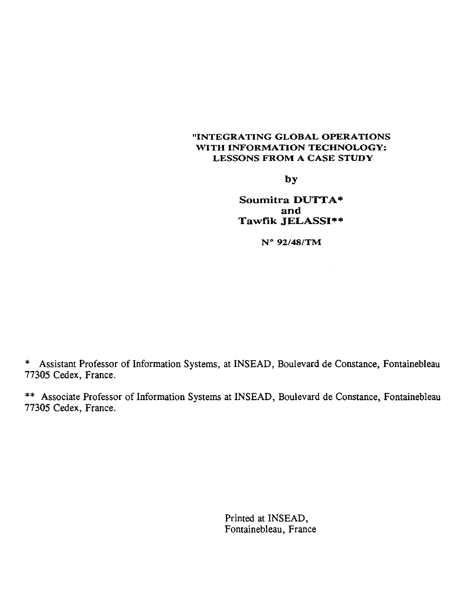#### "INTEGRATING GLOBAL OPERATIONS WITH INFORMATION TECHNOLOGY: LESSONS FROM A CASE STUDY

by

**Soumitra DUTTA\* and Tawfik JELASSI\*\***

N° 92/48/TM

\* Assistant Professor of Information Systems, at INSEAD, Boulevard de Constance, Fontainebleau 77305 Cedex, France.

\*\* Associate Professor of Information Systems at INSEAD, Boulevard de Constance, Fontainebleau 77305 Cedex, France.

> Printed at INSEAD, Fontainebleau, France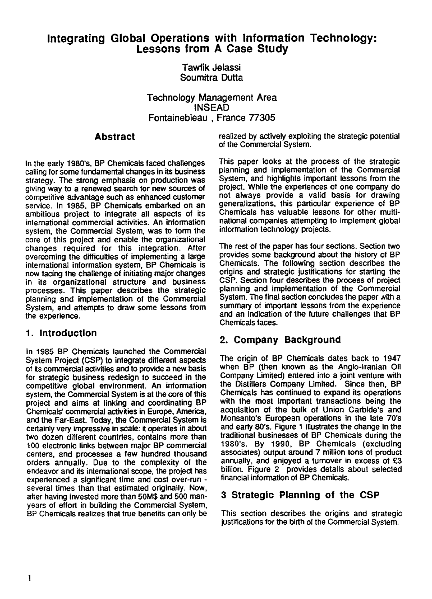# **Integrating Global Operations with Information Technology: Lessons from A Case Study**

Tawfik Jelassi Soumitra Dutta

Technology Management Area INSEAD Fontainebleau , France 77305

## **Abstract**

In the early 1980's, BP Chemicals faced challenges cailing for some fundamental changes in its business strategy. The strong emphasis on production was giving way to a renewed search for new sources of competitive advantage such as enhanced customer service. In 1985, BP Chemicals embarked on an ambitious project to integrate all aspects of its international commercial activities. An information system, the Commercial System, was to form the core of this project and enable the organizational changes required for this integration. After overcoming the difficulties of implementing a large international information system, BP Chemicals is now facing the challenge of initiating major changes in its organizational structure and business processes. This paper describes the strategic planning and implementation of the Commercial System, and attempts to draw some lessons from the experience.

## 1. Introduction

in 1985 BP Chemicals launched the Commercial System Project (CSP) to integrate different aspects of its commercial activities and to provide a new basis for strategic business redesign to succeed in the competitive global environment. An information system, the Commercial System is at the core of this project and aims at linking and coordinating BP Chemicals' commercial activities in Europe, America, and the Far-East. Today, the Commercial System is certainly very impressive in scale: it operates in about two dozen different countries, contains more than 100 electronic links between major BP commercial centers, and processes a few hundred thousand orders annually. Due to the complexity of the endeavor and its international scope, the project has experienced a significant time and cost over-run several times than that estimated originally. Now, after having invested more than 50M\$ and 500 manyears of effort in building the Commercial System, BP Chemicals realizes that true benefits can only be

realized by actively exploiting the strategic potential of the Commercial System.

This paper looks at the process of the strategic planning and implementation of the Commercial System, and highlights important lessons from the project. While the experiences of one company do not always provide a valid basis for drawing generalizations, this particular experience of BP Chemicals has valuable lessons for other multinational companies attempting to implement global information technology projects.

The rest of the paper has four sections. Section two provides some background about the history of BP Chemicals. The following section describes the origins and strategic justifications for starting the CSP. Section four describes the process of project planning and implementation of the Commercial System. The final section concludes the paper with a summary of important lessons from the experience and an indication of the future challenges that BP Chemicals faces.

# 2. Company Background

The origin of BP Chemicals dates back to 1947 when BP (then known as the Anglo-lranian Oil Company Limited) entered into a joint venture with the Distillers Company Limited. Since then, BP Chemicals has continued to expand ils operations with the most important transactions being the acquisition of the bulk of Union Carbide's and Monsanto's European operations in the late 70's and early 80's. Figure 1 illustrates the change in the traditional businesses of BP Chemicals during the 1980's. By 1990, BP Chemicals (exciuding associates) output around 7 million tons of product annually, and enjoyed a turnover in excess of £3 billion. Figure 2 provides details about selected financiai information of BP Chemicals.

# 3 Strategic **Planning of the CSP**

This section describes the origins and strategic justifications for the birth of the Commercial System.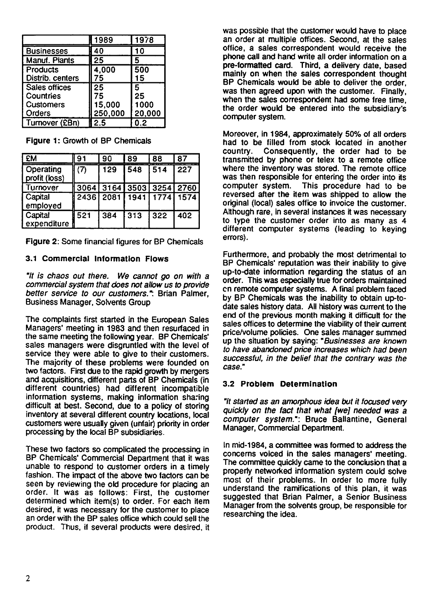|                  |                                  |                 |                                    | 1989   |                | 1978                 |                |                 |
|------------------|----------------------------------|-----------------|------------------------------------|--------|----------------|----------------------|----------------|-----------------|
|                  | <b>Businesses</b>                |                 | 40                                 |        |                | 10                   |                |                 |
| Manuf. Plants    |                                  |                 | $\overline{25}$                    |        |                | 5                    |                |                 |
| Products         |                                  |                 | 4,000                              |        |                | 500                  |                |                 |
| Distrib. centers |                                  |                 | 75                                 |        |                | 15                   |                |                 |
| Sales offices    |                                  | $\overline{25}$ |                                    |        | $\overline{5}$ |                      |                |                 |
| Countries        |                                  | 75              |                                    |        | 25<br>1000     |                      |                |                 |
|                  | <b>Customers</b><br>Orders       |                 |                                    | 15,000 |                |                      |                |                 |
|                  | Turnover (£Bn)                   |                 | <u>250,000</u><br>$\overline{2.5}$ |        |                | <u>20,000</u><br>0.2 |                |                 |
|                  | Figure 1: Growth of BP Chemicals |                 |                                    |        |                |                      |                |                 |
|                  | <b>EM</b>                        | 91              |                                    | 90     |                | 89                   | 88             | 87              |
|                  | Operating<br>profit (loss)       | (7)             |                                    | 129    |                | 548                  | 514            | $\overline{22}$ |
|                  | Turnover                         | 3064            |                                    |        |                |                      | 3164 3503 3254 | $\overline{27}$ |
|                  |                                  |                 |                                    |        |                |                      |                |                 |

Figure 1: Growth of BP Chemicals

| Products<br>Distrib. centers                                                |       | 4,000<br>75 |      | 500<br>15          |      |  |  |
|-----------------------------------------------------------------------------|-------|-------------|------|--------------------|------|--|--|
| Sales offices                                                               |       | 25          |      | 5                  |      |  |  |
| Countries                                                                   |       | 75          |      | 25                 |      |  |  |
| Customers                                                                   |       | 15,000      |      | 1000               |      |  |  |
| Orders                                                                      |       | 250,000     |      | 20,000             |      |  |  |
| Turnover (£Bn)                                                              |       | 2.5         |      | 0.2                |      |  |  |
| Figure 1: Growth of BP Chemicals<br><b>EM</b><br>91<br>90<br>87<br>89<br>88 |       |             |      |                    |      |  |  |
| Operating                                                                   | (7)   | 129         | 548  | 514                | 227  |  |  |
| profit (loss)                                                               |       |             |      |                    |      |  |  |
| Turnover                                                                    | 3064  | 3164        | 3503 | $\overline{3}$ 254 | 2760 |  |  |
| Capital                                                                     | 2436. | 2081        | 1941 | 1774               | 1574 |  |  |
| employed                                                                    |       |             |      |                    |      |  |  |
| Capital                                                                     | 521   | 384         | 313  | 322                | 402  |  |  |
| expenditure                                                                 |       |             |      |                    |      |  |  |
| Figure 2: Some financial figures for BP Chemicals                           |       |             |      |                    |      |  |  |

Figure 2: Some financial figures for BP Chemicals

## 3.1 Commercial Information Flows

*"11 is chaos out there. We canot go on with a commercial system that does not allow us to provide better service to our customers.":* Brian Palmer, Business Manager, Solvents Group

The complaints first started in the European Sales Managers' meeting in 1983 and then resurfaced in the same meeting the following year. BP Chemicals' sales managers were disgruntled with the level of service they were able to give to their customers. The majority of these problems were founded on two factors. First due to the rapid growth by mergers and acquisitions, different parts of BP Chemicals (in different countries) had different incompatible information systems, making information sharing difficult at best. Second, due to a policy of storing inventory at several different country locations, local customers were usually given (unfair) priority in order processing by the local BP subsidiaries.

These two factors so complicated the processing in BP Chemicals' Commercial Department that it was unable to respond to customer orders in a timely fashion. The impact of the above two factors can be seen by reviewing the old procedure for placing an order. It was as follows: First, the customer determined which item(s) to order. For each item desired, it was necessary for the customer to place an order with the BP sales office which could sell the product. Thus, if several products were desired, it

was possible that the customer would have to place an order at multiple offices. Second, at the sales office, a sales correspondent would receive the phone call and hand write all order information on a pre-formatted card. Third, a delivery date, based mainly on when the sales correspondent thought BP Chemicals would be able to deliver the order, was then agreed upon with the customer. Finally, when the sales correspondent had some free time. the order would be entered into the subsidiary's computer system.

Moreover, in 1984, approximately 50% of all orders had to be filled from stock located in another country. Consequently, the order had to be transmitted by phone or telex to a remote office where the inventory was stored. The remote office was then responsible for entering the order into its computer system. This procedure had to be reversed alter the item was shipped to allow the original (local) sales office to invoice the customer. Although rare, in several instances it was necessary to type the customer order into as many as 4 different computer systems (leading to keying errors).

Furthermore, and probably the most detrimental to BP Chemicals' reputation was their inability to give up-to-date information regarding the status of an order. This was especially true for orders maintained en remote computer systems. A final problem faced by BP Chemicals was the inability to obtain up-todate sales history data. All history was current to the end of the previous month making it difficult for the sales offices to determine the viability of their current price/volume policies. One sales manager summed up the situation by saying: *"Businesses are known to have abandoned price increases which had been successful, in the belle( that the contrary was the case."*

#### 3.2 Problem Determination

*"ft started as an amorphous idea but if focused very quickly on the fact that what Ave' needed was a computer system.":* Bruce Ballantine, General Manager, Commercial Department.

In mid-1984, a committee was formed to address the concems voiced in the sales managers' meeting. The committee quickly came to the conclusion that a properly networked information system could solve most of their problems. In order to more fully understand the ramifications of this plan, it was suggested that Brian Palmer, a Senior Business Manager from the solvents group, be responsible for researching the idea.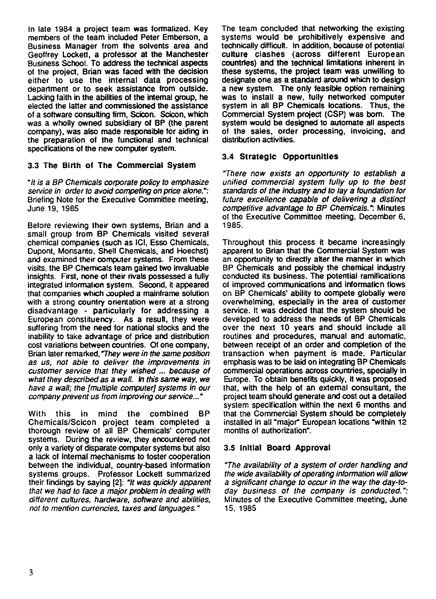In late 1984 a project team was formalized. Key members of the team included Peter Emberson, a Business Manager from the solvents area and Geoffrey Lockett, a professor at the Manchester Business School. To address the technical aspects of the project, Brian was faced with the decision either to use the internai data processing department or to seek assistance from outside. Lacking faith in the abilities of the internai group, he elected the latter and commissioned the assistance of a software consulting firm, Scicon. Scicon, which was a wholly owned subsidiary of BP (the parent company), was also made responsible for aiding in the preparation of the functional and technical specifications of the new computer system.

### 3.3 The Birth of The Commercial System

*"It is a BP Chemicals corporate policy to emphasize service in order to avoid competing on price alone.":* Briefing Note for the Executive Committee meeting, June 19, 1985

Before reviewing their own systems, Brian and a small group from BP Chemicals visited several chemical companies (such as ICI, Esso Chemicals, Dupont, Monsanto, Shell Chemicals, and Hoechst) and examined their computer systems. From these visits, the BP Chemicals team gained two invaluable insights. First, none of their rivais possessed a fully integrated information system. Second, it appeared that companies which coupled a mainframe solution with a strong country orientation were at a strong disadvantage - particularly for addressing a European constituency. As a result, they were suffering from the need for national stocks and the inability to take advantage of price and distribution cost variations between countries. Of one company, Brian taler remarked, *They were in the same position as us, not able to deliver the improvements in customer service that they wished because of what they described as a wall. In this same way, we have a mail; the [multiple computer] systems in our company prevent us from improving our service..."*

With this in mind the combined BP Chemicals/Scicon project team completed a thorough review of ail BP Chemicals' computer systems. During the review, they encountered not only a variety of disparate computer systems but also a lack of internai mechanisms to foster cooperation between the individual, country-based information systems groups. Professor Lockett summarized their findings by saying [2]: *"It was quickly apparent that we had to face a major problem in deâling with different cultures, hardware, software and abilities, not to mention currencies, taxes and languages."*

The team concluded that networking the existing systems would be prohibitively expensive and technically difficutt. In addition, because of potential culture clashes (across different European countries) and the technical limitations inherent in these systems, the project team was unwilling to designate one as a standard around which to design a new system. The only feasible option remaining was to install a new, fully networked computer system in all BP Chemicals locations. Thus, the Commercial System project (CSP) was bom. The system would be designed to automate ail aspects of the sales, order processing, invoicing, and distribution activities.

## 3.4 Strategic Opportunities

*"There now exists an opportunity to establish a unified commercial system fully up to the best standards of the industry and to lay a foundation for future excellence capable of delivering a distinct competitive advantage to BP Chemicals.":* Minutes of the Executive Committee meeting, December 6, 1985.

Throughout this process it became increasingly apparent to Brian that the Commercial System was an opportunity to directly alter the manner in which BP Chemicals and possibly the chemical industry conducted its business. The potential ramifications of improved communications and information flows on BP Chemicals' ability to compete globally were overwhelming, especially in the area of customer service. It was decided that the system should be developed to address the needs of BP Chemicals over the next 10 years and should include ail routines and procedures, manual and automatic, between receipt of an order and completion of the transaction when payment is made. Particular emphasis was to be laid on integrating BP Chemicals commercial operations across countries, specially in Europe. To obtain benefits quickly, it was proposed that, with the help of an extemal consultant, the project team should generate and cost out a detailed system specification within the next 6 months and that the Commercial System should be compietely installed in ail "major European locations "within 12 months of authorization".

#### 3.5 Initial Board Approval

*"The availability of a system of order handling and the wide availability of operating information will allow a significant change to occur in the way the day-today business of the company is conducted.":* Minutes of the Executive Committee meeting, June 15, 1985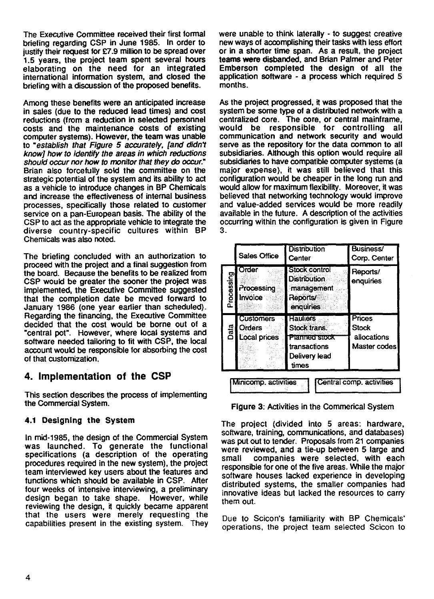The Executive Committee received their first formai briefing regarding CSP in June 1985. In order to justify their request for £7.9 million to be spread over 1.5 years, the project team spent several hours elaborating on the need for an integrated international information system, and closed the briefing with a discussion of the proposed benefits.

Among these benefits were an anticipated increase in sales (due to the reduced lead times) and cost reductions (from a reduction in selected personnel costs and the maintenance costs of existing computer systems). However, the team was unable to *"establish that Figure 5 accurately, [and didn7 know] how to identify the areas in which reductions should occur nor how to monitor that they do occur."* Brian also forcefully soid the committee on the strategic potential of the system and its ability to act as a vehicle to introduce changes in BP Chemicals and increase the effectiveness of infernal business processes, specifically those related to customer service on a pan-European basis. The ability of the CSP to act as the appropriate vehicle to integrate the diverse country-specific cultures within BP Chemicals was also noted.

The briefing concluded with an authorization to proceed with the project and a final suggestion from the board. Because the benefits to be realized from CSP would be greater the sooner the project was implemented, the Executive Committee suggested that the completion date be mcved forward to January 1986 (one year eariier than scheduled). Regarding the financing, the Executive Committee decided that the cost would be borne out of a "central pot". However, where local systems and software needed tailoring to fit with CSP, the local account would be responsible for absorbing the cost of that customization.

# **4. Implementation of the CSP**

This section describes the process of implementing the Commercial System.

#### 4.1 Designing the System

In mid-1985, the design of the Commercial System was launched. To generate the functional specifications (a description of the operating procedures required in the new system), the project team interviewed key users about the features and functions which should be available in CSP. Atter four weeks of intensive interviewing, a preliminary design began to take shape. However, while reviewing the design, it quickly became apparent that the users were merely requesting the capabilities present in the existing system. They

were unable to think laterally - to suggest creative new ways of accomplishing their tasks with less effort or in a shorter time span. As a resuit, the project teams were disbanded, and Brian Palmer and Peter Emberson completed the design of ail the application software - a process which required 5 months.

As the project progressed, it was proposed that the system be some type of a distributed network with a centralized core. The core, or central mainframe, would be responsible for controlling ail communication and network security and would serve as the repository for the data common to ail subsidiaries. Although this option would require ail subsidiaries to have compatible computer systems (a major expense), it was still believed that this configuration would be cheaper in the long run and would allow for maximum flexibility. Moreover, it was believed that networking technology would improve and value-added services would be more readily available in the future. A description of the activities occurring within the configuration is given in Figure 3.

|                                                  | <b>Sales Office</b>                               | <b>Distribution</b><br>Center                                                              | Business/<br>Corp. Center                      |  |  |
|--------------------------------------------------|---------------------------------------------------|--------------------------------------------------------------------------------------------|------------------------------------------------|--|--|
| Processing                                       | Order<br>Processing<br>Invoice                    | Stock control<br><b>Distribution</b><br>management<br>Reports/<br>enquiries                | Reports/<br>enquiries                          |  |  |
| Data                                             | <b>Customers</b><br><b>Orders</b><br>Local prices | <b>Hauliers</b><br>Stock trans.<br>Planned stock<br>transactions<br>Delivery lead<br>times | Prices<br>Stock<br>allocations<br>Master codes |  |  |
|                                                  |                                                   |                                                                                            |                                                |  |  |
| Central comp. activities<br>Minicomp. activities |                                                   |                                                                                            |                                                |  |  |

Figure 3: Activities in the Commerical System

The project (divided into 5 areas: hardware, software, training, communications, and databases) was put out to tender. Proposais from 21 companies were reviewed, and a tie-up between 5 large and small companies were selected, with each responsible for one of the five areas. While the major software houses lacked experience in developing distributed systems, the smaller companies had innovative ideas but lacked the resources to carry them out.

Due to Scicon's familiarity with BP Chemicals' operations, the project team selected Scicon to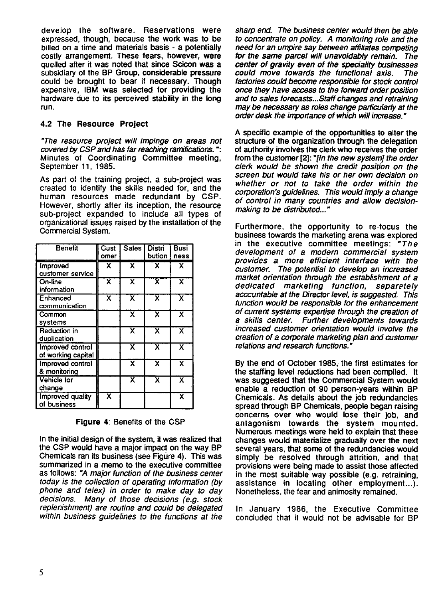develop the software. Reservations were expressed, though, because the work was to be billed on a time and materials basis - a potentially costly arrangement. These fears, however, were quelled alter it was noted that since Scicon **was a** subsidiary of the BP Group, considerable pressure could be brought to bear if necessary. Though expensive, IBM was selected for providing the hardware due to its perceived stability in the long run.

#### **4.2 The Resource Project**

*-The resource project will impinge on areas not covered by CSP and has far reaching ramifications. ":* Minutes of Coordinating Committee meeting, September 11, 1985.

As part of the training project, a sub-project was created to identify the skills needed for, and the human resources made redundant by CSP. However, shortly after its inception, the resource sub-project expanded to include all types of organizational issues raised by the installation of the Commercial System. Presource projet<br>
Pred by CSP and httes of Coordin<br>
ember 11, 1985.<br>
Leart of the training<br>
ted to identify the an resources<br>
ever, shortly after<br>
project expanding<br>
project expanding<br>
mersenger and the cust<br>
project strai

| <b>Benefit</b>                         | Cust<br>omer | Sales                   | <b>Distri</b><br>bution | Busi<br>ness            |
|----------------------------------------|--------------|-------------------------|-------------------------|-------------------------|
| Improved<br>customer service           | χ            | x                       | x                       | χ                       |
| On-line<br>information                 | x            | X                       | Х                       | $\overline{\mathsf{x}}$ |
| Enhanced<br>communication              | x            | x                       | x                       | $\overline{\textsf{x}}$ |
| Common<br>systems                      |              | $\overline{\mathsf{x}}$ | x                       | $\overline{\textbf{x}}$ |
| Reduction in<br>duplication            |              | x                       | x                       | x                       |
| Improved control<br>of working capital |              | x                       | X.                      | X                       |
| Improved control<br>& monitoring       |              | $\overline{\textsf{x}}$ | x                       | $\overline{\mathbf{x}}$ |
| <b>Vehicle for</b><br>change           |              | X                       | $\overline{\textbf{x}}$ | $\overline{\textbf{x}}$ |
| Improved quality<br>of business        | x            |                         |                         | $\overline{\mathsf{x}}$ |

**Figure 4:** Benefits of the CSP

In the initial design of the system, it was realized that the CSP would have a major impact on the way BP Chemicals ran its business (see Figure 4). This was summarized in a memo to the executive committee as follows: *"A major function of the business center today is the collection of operating information (by phone and telex) in order to make day to day decisions. Many of those decisions (e.g. stock replenishment) are routine and could be delegated within business guidelines to the functions at the* *sharp end. The business center would then be able to concentrate on policy. A monitoring rote and the need for an umpire say between affiliates competing for the same parce! will unavoidably remain. The center of gravity even of the speciality businesses could move towards the functional axis. The factories could become responsible for stock control once they have access to the forward order position and to sales forecasts...Staff changes and retraining may be necessary as roles change particularly at the order desk the importance of which will increase."*

A specific example of the opportunities to alter the structure of the organization through the delegation of authority involves the clerk who receives the order from the customer (2]: *7In the new system] the order clerk would be shown the credit position on the screen but would take his or her own decision on whether or not to take the order within the corporations guidelines. This would imp!y a change of control in many countries and allow decisionmaking to be distributed..."*

Furthermore, the opportunity to re-focus the business towards the marketing arena was explored in the executive committee meetings: *"The development of a modem commercial system pro vides a more efficient interface with the customer. The potential to develop an increased market orientation through the establishment of a dedicated marketing function, separately acccuntable at the Director level, is suggested. This function would be responsible for the enhancement of current systems expertise through the creation of a skips center. Further developments towards increased customer orientation would involve the creation of a corporate marketing plan and customer relations and research functions.-*

By the end of October 1985, the first estimates for the staffing level reductions had been compiled. It was suggested that the Commercial System would enable a reduction of 90 person-years within BP Chemicais. As details about the job redundancies spread through BP Chemicais, people began raising concerns over who would lose their job, and antagonism towards the system mounted. Numerous meetings were held to expiain that these changes would materialize gradually over the next several years, that some of the redundancies would simpiy be resolved through attrition, and that provisions were being made to assist those affected in the most suitable way possible (e.g. retraining, assistance in locating other employment...). Nonetheless, the fear and animosity remained.

In January 1986, the Executive Committee concluded that it would not be advisabie for BP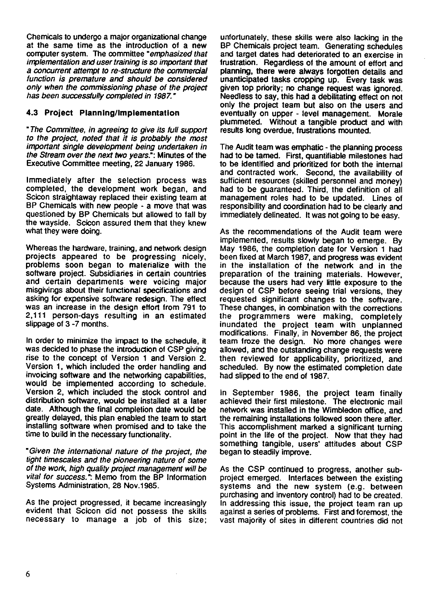Chemicals to undergo a major organizational change at the same time as the introduction of a new computer system. The committee *"emphasized that implementation and user training is so important that a concurrent attempt to ro-structure the commercial function is premature and should be considered only when the commissioning phase of the project has been successfully completed in 1987."*

## 4.3 Project Planning/Implementation

*"The Committee, in agreeing to give its full support to the project, noted that it is probably the most important single development being undertaken in the Stream over the next two years.":* Minutes of the Executive Committee meeting, 22 January 1986.

lmmediately after the selection process was completed, the development work began, and Scicon straightaway replaced their existing team at BP Chemicals with new people - a move that was questioned by BP Chemicals but allowed to fall by the wayside. Scicon assured them that they knew what they were doing.

Whereas the hardware, training, and network design projects appeared to be progressing nicely, problems soon began to malerialize with the software project. Subsidiaries in certain countries and certain departments were voicing major misgivings about their functional specifications and asking for expensive software redesign. The effect was an increase in the design effort from 791 to 2,111 person-days resulting in an estimated slippage of 3 -7 months.

In order to minimize the impact to the schedule, it was decided to phase the introduction of CSP giving rise to the concept of Version 1 and Version 2. Version 1, which included the order handling and invoicing software and the networking capabilities, would be implemented according to schedule. Version 2, which included the stock control and distribution software, would be installed at a later date. Although the final completion date would be greatly delayed, this plan enabled the team to start installing software when promised and to take the time to build in the necessary functionality.

*Given the international nature of the project, the tight timescales and the pioneering nature of some of the work, high quality project management will be vital for success?:* Memo from the BP Information Systems Administration, 28 Nov.1985.

As the project progressed, it became increasingly evident that Scicon did not possess the skills necessary to manage a job of this size;

unfortunately, these skills were also lacking in the BP Chemicals project team. Generating schedules and target dates had deteriorated to an exercise in frustration. Regardless of the amount of effort and planning, there were aiways forgotten details and unanticipated tasks cropping up. Every task was given top priority; no change request was ignored. Needless to say, this had a debilitating effect on not only the project team but also on the users and eventually on upper - level management. Morale plummeted. Without a tangible product and with results long overdue, frustrations mounted.

The Audit team was emphatic - the planning process had to be tamed. First, quantifiable milestones had to be identified and prioritized for both the internat and contracted work. Second, the availability of sufficient resources (skilled personnel and money) had to be guaranteed. Third, the definition of all management roles had to be updated. Lines of responsibility and coordination had to be clearly and immediately delineated. It was not going to be easy.

As the recommendations of the Audit team were implemented, results slowly began to emerge. By May 1986, the completion date for Version 1 had been fixed at March 1987, and progress was evident in the installation of the network and in the preparation of the training materials. However, because the users had very little exposure to the design of CSP before seeing trial versions, they requested significant changes to the software. These changes, in combination with the corrections the programmers were making, completely inundated the project team with unplanned modifications. Finaily, in November 86, the project team froze the design. No more changes were allowed, and the outstanding change requests were then reviewed for applicability, prioritized, and scheduled. By now the estimated completion date had slipped to the end of 1987.

In September 1986, the project team finally achieved their first milestone. The electronic mail network was installed in the Wimbledon office, and the remaining installations followed soon there atter. This accomplishment marked a significant turning point in the lite of the project. Now that they had something tangible, users' attitudes about CSP began to steadily improve.

As the CSP continued to progress, another subproject emerged. Interfaces between the existing systems and the new system (e.g. between purchasing and inventory control) had to be created. In addressing this issue, the project team ran up against a series of problems. First and foremost, the vast majority of sites in different countries did not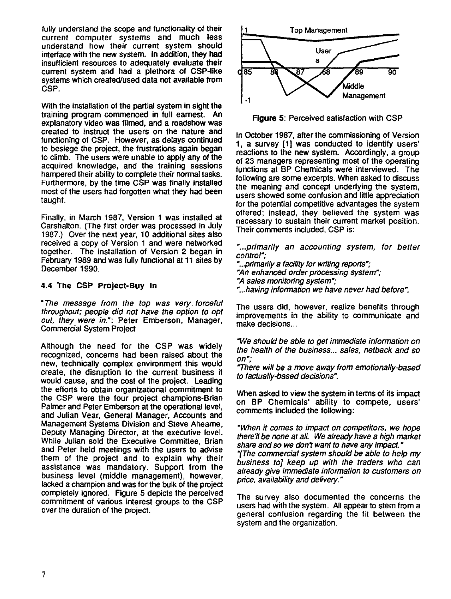fully understand the scope and functionality of their current computer systems and much less understand how their current system should interface with the new system. In addition, they had insufficient resources to adequately evaluate their current system and had a plethora of CSP-like systems which created/used data not available from CSP.

With the installation of the partial system in sight the training program commenced in full earnest. An explanatory video was filmed, and a roadshow was created to instruct the users on the nature and functioning of CSP. However, as delays continued to besiege the project, the frustrations again began to climb. The users were unable to apply any of the acquired knowledge, and the training sessions hampered their ability to complete their normal tasks. Furthermore, by the time CSP was finally installed most of the users had forgotten what they had been taught.

Finally, in March 1987, Version 1 was installed at Carshalton. (The first order was processed in July 1987.) Over the next year, 10 additional sites also received a copy of Version 1 and were networked together. The installation of Version 2 began in February 1989 and was fully functional **al** 11 sites by December 1990.

#### **4.4 The CSP Project-Buy In**

*"The message from the top was yen/ forceful throughout; people did not have the option to opt out, they were in.":* Peter Emberson, Manager, Commercial System Project

Although the need for the CSP was widely recognized, concems had been raised about the new, technically complex environment this would create, the disruption to the current business it would cause, and the cost of the project. Leading the efforts to obtain organizational commitment to the CSP were the four project champions-Brian Palmer and Peter Emberson at the operational level, and Julian Vear, General Manager, Accounts and Management Systems Division and Steve Aheame, Deputy Managing Director, at the executive level. While Julian sold the Executive Committee, Brian and Peter held meetings with the users to advise them of the project and to explain why their assistance was mandatory. Support from the business level (middle management), however, lacked a champion and was for the bulk of the project completely ignored. Figure 5 depicts the perceived commitment of various interest groups to the CSP over the duration of the project.



**Figure 5:** Perceived satisfaction with CSP

In October 1987, atter the commissioning of Version 1, a survey (1) was conducted to identify users' reactions to the new system. Accordingly, a group of 23 managers representing most of the operating functions at BP Chemicals were interviewed. The following are some excerpts. When asked to discuss the meaning and concept underlying the system, users showed some confusion and little appreciation for the potential competitive advantages the system offered; instead, they believed the system was necessary to sustain their current market position. Their comments included, CSP is:

*"...primarily an accounting system, for better control";*

*"...primarily a facility for writing reports"; "An enhanced order processing system"• "A sales monitoring system"; "...having information we have never had before".*

The users did, however, realize benefits through improvements in the ability to communicate and make decisions...

*"We should be able to get immediate information on the health of the business... sales, netback and so on";*

*'There will be a move away from emotionally-based to factually-based decisions".*

When asked to view the system in terms of its impact on BP Chemicals' ability to compete, users' comments included the following:

*"When it tomes to impact on competitors, we hope there!! be none at all. We already have a high market share and so we don7 want to have any impact." 7The commercial system should be able to help my business to] keep up with the traders who can already give immediate information to customers on*

The survey also documented the concerns the users had with the system. Ail appear to stem from a general confusion regarding the fit between the system and the organization.

*price, availability and delivery."*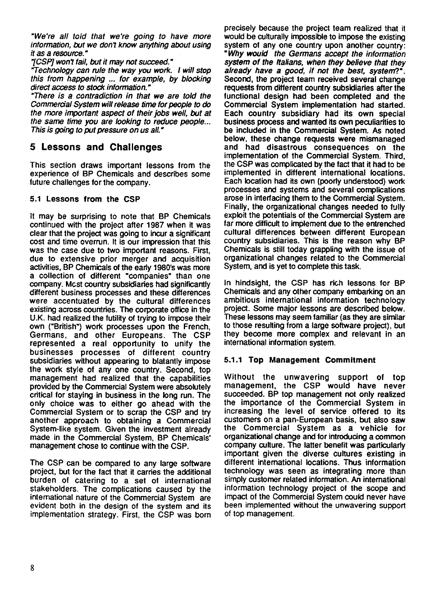*"We're all told that we're going to have more information, but we don7 know anything about using it as a resource."*

*7CSIej won7 fait, but it may not succeed."*

*"Technology can cule the way you work. I will stop this from happening ... for example, by blocking direct access to stock information."*

*"There is a contradiction in that we are told the Commercial System will release lime for people to do the more important aspect of their jobs well, but at the same time you are looking to reduce people... This is going to put pressure on us all."*

## **5 Lessons and Challenges**

This section draws important lessons from the experience of BP Chemicals and describes some future challenges for the company.

#### 5.1 Lessons from the CSP

It may be surprising to note that BP Chemicals continued with the project after 1987 when it was clear that the project was going to incur a significant cost and time overrun. It is our impression that this was the case due to two important reasons. First, due to extensive prior merger and acquisition activities, BP Chemicals of the early 1980's was more a collection of different "companies" than one company. Mcst country subsidiaries had significantly different business processes and these differences were accentuated by the cultural differences existing across countries. The corporate office in the U.K. had realized the futility of trying to impose their own ("British") work processes upon the French, Germans, and other Europeans. The CSP represented a real opportunity to unify the businesses processes of different country subsidiaries without appearing to blatantly impose the work style of any one country. Second, top management had realized that the capabilities provided by the Commercial System were absolutely critical for staying in business in the long run. The only choice was to either go ahead with the Commercial System or to scrap the CSP and try another approach to obtaining a Commercial System-like system. Given the investment already made in the Commercial System, BP Chemicals' management chose to continue with the CSP.

The CSP can be compared to any large software project, but for the fact that it carnes the additional burden of catering to a set of international stakeholders. The complications caused by the international nature of the Commercial System are evident both in the design of the system and its implementation strategy. First, the CSP was born

precisely because the project team realized that it would be culturally impossible to impose the existing system of any one country upon another country: *"Why would the Germans accept the information system of the ftallans, when they believe that they already have a good, if not the best, system?".* Second, the project team received several change requests from different country subsidiaries after the functional design had been completed and the Commercial System implementation had started. Each country subsidiary had its own special business process and wanted its own peculiarities to be included in the Commercial System. As noted below, these change requests were mismanaged and had disastrous consequences on the implementation of the Commercial System. Third, the CSP was complicated by the fact that it had to be implemented in different international locations. Each location had its own (poorly understood) work processes and systems and several complications arose in interfacing them to the Commercial System. Finally, the organizational changes needed to fully exploit the potentials of the Commercial System are far more difficult to implement due to the entrenched cultural differences between different European country subsidiaries. This is the reason why BP Chemicals is still today grappling with the issue of organizational changes related to the Commercial System, and is yet to complete this task.

In hindsight, the CSP has rich lessons for BP Chemicals and any other company embarking on an ambitious international information technology project. Some major lessons are described below. These lessons may seem familiar (as they are similar to those resutting from a large software project), but they become more complex and relevant in an international information system.

## 5.1.1 Top Management Commitment

Without the unwavering support of top management, the CSP would have never succeeded. BP top management not only realized the importance of the Commercial System in increasing the level of service offered to its customers on a pan-European basis, but also saw the Commercial System as a vehicle for organizational change and for introducing a common company culture. The latter benefit was particularly important given the diverse cultures existing in different international locations. Thus information technology was seen as integrating more than simply customer related information. An international information technology project of the scope and impact of the Commercial System could never have been implemented without the unwavering support of top management.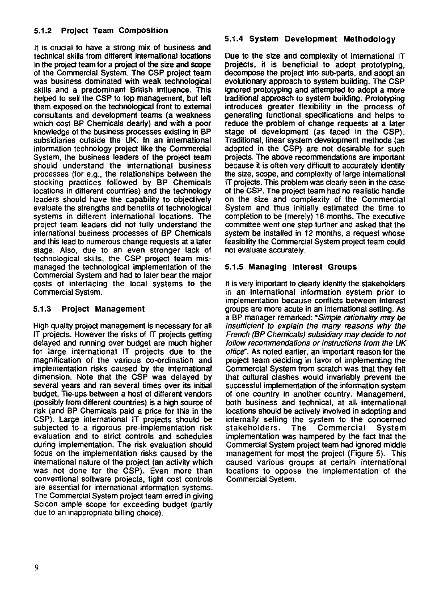## 5.1.2 Project Team Composition

It is crucial to have a strong mix of business and technical skills from different international locations in the project team for a project of the size and scope of the Commercial System. The CSP project team was business dominated with weak technological skills and a predominant British influence. This helped to sell the CSP to top management, but lett them exposed on the technological front to extemal consultants and development teams (a weakness which cosi BP Chemicals dearly) and with a poor knowledge of the business processes existing in BP subsidiaries outside the UK. In an international information technology project like the Commercial System, the business leaders of the project team should understand the international business processes (for e.g., the relationships between the stocking practices followed by BP Chemicals locations in different countries) and the technology leaders should have the capability to objectively evaluate the strengths and benefits of technological systems in different international locations. The project team leaders did not fully understand the international business processes of BP Chemicals and this lead to numerous change requests at a later stage. Also, due to an even stronger lack of technological skills, the CSP project team mismanaged the technological impiementation of the Commercial System and had to later bear the major costs of interfacing the local systems to the Commercial System.

#### 5.1.3 Project Management

High qualily project management is necessary for ail IT projects. However the risks of IT projects getting delayed and running over budget are much higher for large international IT projects due to the magnification of the various co-ordination and implementation risks caused by the international dimension. Note that the CSP was delayed by several years and ran several times over its initial budget. Tie-ups between a host of different vendors (possibly from different countries) is a high source of risk (and BP Chemicals paid a price for this in the CSP). Large international IT projects should be subjected to a rigorous pre-implementation risk evaluation and to strict controls and schedules during impiementation. The risk evaluation should focus on the implementation risks caused by the international nature of the project (an activity which was not done for the CSP). Even more than conventional software projects, tight cost controls are essential for international information systems. The Commercial System project team erred in giving Scicon ample scope for exceeding budget (partly due to an inappropriate billing choice).

#### 5.1.4 System Development Methodology

Due to the size and complexity of international IT projects, it is beneficial to adopt prototyping, decompose the project into sub-parts, and adopt an evolutionary approach to system building. The CSP ignored prototyping and attempted to adopt a more traditional approach to system building. Prototyping introduces greater flexibility in the process of generating functional specifications and helps to reduce the problem of change requests at a later stage of development (as faced in the CSP). Traditional, linear system devebpment methods (as adopted in the CSP) are not desirable for such projects. The above recommendations are important because it is often very difficult to accurately identify the size, scope, and complexity of large international IT projects. This problem was clearly seen in the case of the CSP. The project team had no realistic handie on the size and complexity of the Commercial System and thus initially estimated the time to compietion to be (merely) 18 months. The executive committee went one step further and asked that the system be installed in 12 months, a request whose feasibility the Commercial System project team could not evaluate accurately.

## 5.1.5 ManagIng Interest Groups

It is very important to clearly identify the stakeholders in an international information system prior to impiementation because conflicts between interest groups are more acute in an international setting. As a BP manager remarked: *"Simple rationality may be insufficient to explain the many reasons why the French (BP Chemicals) subsidiary may decide to not follow recommendations or instructions from the UK office".* As noted earlier, an important reason for the project team deciding in favor of implementing the Commercial System from scratch was that they telt that cultural clashes would invariably prevent the successful implementation of the information system of one country in another country. Management, both business and technical, at ail international locations should be actively invoived in adopting and internally selling the system to the concerned stakeholders. The Commercial System impiementation was hampered by the fact that the Commercial System project team had ignored middle management for most the project (Figure 5). This caused various groups at certain international locations to oppose the implementation of the Commercial System.